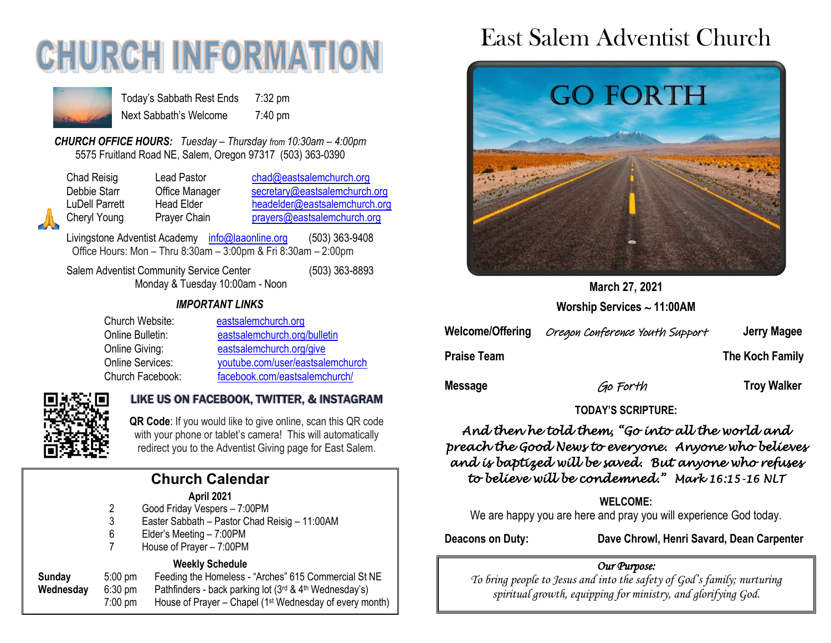# **CHURCH INFORMATION**



Today's Sabbath Rest Ends 7:32 pm Next Sabbath's Welcome 7:40 pm

*CHURCH OFFICE HOURS: Tuesday – Thursday from 10:30am – 4:00pm* 5575 Fruitland Road NE, Salem, Oregon 97317 (503) 363-0390

| <b>Chad Reisig</b> | Lead Pastor    | chad@eastsalemchurch.org      |
|--------------------|----------------|-------------------------------|
| Debbie Starr       | Office Manager | secretary@eastsalemchurch.org |
| LuDell Parrett     | Head Elder     | headelder@eastsalemchurch.org |
| Cheryl Young       | Prayer Chain   | prayers@eastsalemchurch.org   |

Livingstone Adventist Academy [info@laaonline.org](mailto:info@laaonline.org) (503) 363-9408 Office Hours: Mon – Thru 8:30am – 3:00pm & Fri 8:30am – 2:00pm

Salem Adventist Community Service Center (503) 363-8893 Monday & Tuesday 10:00am - Noon

#### *IMPORTANT LINKS*

| Church Website:         | eastsalemchurch.org              |
|-------------------------|----------------------------------|
| Online Bulletin:        | eastsalemchurch.org/bulletin     |
| Online Giving:          | eastsalemchurch.org/give         |
| <b>Online Services:</b> | youtube.com/user/eastsalemchurch |
| Church Facebook:        | facebook.com/eastsalemchurch/    |



#### LIKE US ON FACEBOOK, TWITTER, & INSTAGRAM

**QR Code**: If you would like to give online, scan this QR code with your phone or tablet's camera! This will automatically redirect you to the Adventist Giving page for East Salem.

### **Church Calendar**

**April 2021**

- 2 Good Friday Vespers 7:00PM
- 3 Easter Sabbath Pastor Chad Reisig 11:00AM
- 6 Elder's Meeting 7:00PM
- 7 House of Prayer 7:00PM

#### **Weekly Schedule**

**Sunday** 5:00 pm Feeding the Homeless - "Arches" 615 Commercial St NE **Wednesday** 6:30 pm Pathfinders - back parking lot (3rd & 4th Wednesday's) 7:00 pm House of Prayer – Chapel (1st Wednesday of every month)

## East Salem Adventist Church



#### **March 27, 2021**

**Worship Services 11:00AM**

| <b>Welcome/Offering</b> | Oregon Conference Youth Support | Jerry Magee        |
|-------------------------|---------------------------------|--------------------|
| <b>Praise Team</b>      |                                 | The Koch Family    |
| <b>Message</b>          | Go Forth                        | <b>Troy Walker</b> |

#### **TODAY'S SCRIPTURE:**

#### *And then he told them, "Go into all the world and preach the Good News to everyone. Anyone who believes and is baptized will be saved. But anyone who refuses to believe will be condemned." Mark 16:15-16 NLT*

#### **WELCOME:**

We are happy you are here and pray you will experience God today.

**Deacons on Duty: Dave Chrowl, Henri Savard, Dean Carpenter**

#### *Our Purpose:*

*To bring people to Jesus and into the safety of God's family; nurturing spiritual growth, equipping for ministry, and glorifying God.*